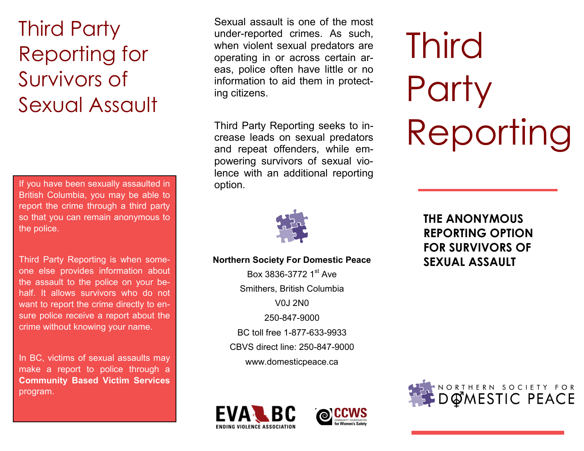# Third Party Reporting for Survivors of Sexual Assault

If you have been sexually assaulted in  $\blacksquare$  option. British Columbia, you may be able to report the crime through a third party so that you can remain anonymous to the police.

Third Party Reporting is when someone else provides information about the assault to the police on your behalf. It allows survivors who do not want to report the crime directly to ensure police receive a report about the crime without knowing your name.

In BC, victims of sexual assaults may make a report to police through a **Community Based Victim Services**  program.

Sexual assault is one of the most under-reported crimes. As such, when violent sexual predators are operating in or across certain areas, police often have little or no information to aid them in protecting citizens.

Third Party Reporting seeks to increase leads on sexual predators and repeat offenders, while empowering survivors of sexual violence with an additional reporting



#### **SEXUAL ASSAULT Northern Society For Domestic Peace**

Box 3836-3772 1st Ave Smithers, British Columbia V0J 2N0 250-847-9000 BC toll free 1-877-633-9933 CBVS direct line: 250-847-9000 www.domesticpeace.ca





# **Third Party** Reporting

**THE ANONYMOUS REPORTING OPTION FOR SURVIVORS OF**